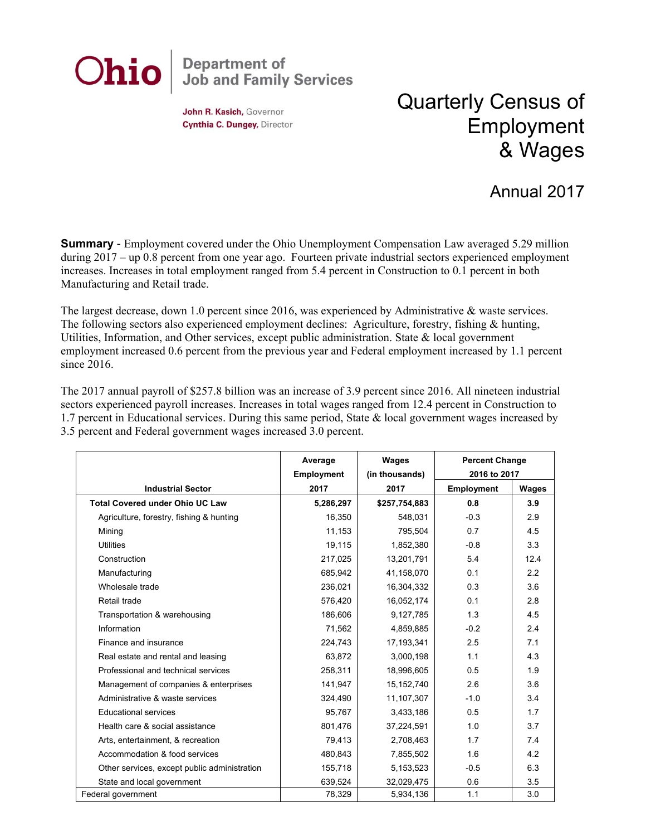

John R. Kasich, Governor Cynthia C. Dungey, Director

## Quarterly Census of Employment & Wages

## Annual 2017

**Summary** - Employment covered under the Ohio Unemployment Compensation Law averaged 5.29 million during 2017 – up 0.8 percent from one year ago. Fourteen private industrial sectors experienced employment increases. Increases in total employment ranged from 5.4 percent in Construction to 0.1 percent in both Manufacturing and Retail trade.

The largest decrease, down 1.0 percent since 2016, was experienced by Administrative & waste services. The following sectors also experienced employment declines: Agriculture, forestry, fishing & hunting, Utilities, Information, and Other services, except public administration. State & local government employment increased 0.6 percent from the previous year and Federal employment increased by 1.1 percent since 2016.

The 2017 annual payroll of \$257.8 billion was an increase of 3.9 percent since 2016. All nineteen industrial sectors experienced payroll increases. Increases in total wages ranged from 12.4 percent in Construction to 1.7 percent in Educational services. During this same period, State & local government wages increased by 3.5 percent and Federal government wages increased 3.0 percent.

|                                              | Average                   | Wages                  | <b>Percent Change</b><br>2016 to 2017<br>Employment<br>Wages |      |
|----------------------------------------------|---------------------------|------------------------|--------------------------------------------------------------|------|
| <b>Industrial Sector</b>                     | <b>Employment</b><br>2017 | (in thousands)<br>2017 |                                                              |      |
| <b>Total Covered under Ohio UC Law</b>       | 5,286,297                 |                        | 0.8                                                          | 3.9  |
|                                              |                           | \$257,754,883          |                                                              |      |
| Agriculture, forestry, fishing & hunting     | 16,350                    | 548,031                | $-0.3$                                                       | 2.9  |
| Mining                                       | 11,153                    | 795,504                | 0.7                                                          | 4.5  |
| <b>Utilities</b>                             | 19,115                    | 1,852,380              | $-0.8$                                                       | 3.3  |
| Construction                                 | 217,025                   | 13,201,791             | 5.4                                                          | 12.4 |
| Manufacturing                                | 685,942                   | 41,158,070             | 0.1                                                          | 2.2  |
| Wholesale trade                              | 236,021                   | 16,304,332             | 0.3                                                          | 3.6  |
| Retail trade                                 | 576,420                   | 16,052,174             | 0.1                                                          | 2.8  |
| Transportation & warehousing                 | 186,606                   | 9,127,785              | 1.3                                                          | 4.5  |
| Information                                  | 71,562                    | 4,859,885              | $-0.2$                                                       | 2.4  |
| Finance and insurance                        | 224,743                   | 17, 193, 341           | 2.5                                                          | 7.1  |
| Real estate and rental and leasing           | 63,872                    | 3,000,198              | 1.1                                                          | 4.3  |
| Professional and technical services          | 258,311                   | 18,996,605             | 0.5                                                          | 1.9  |
| Management of companies & enterprises        | 141,947                   | 15,152,740             | 2.6                                                          | 3.6  |
| Administrative & waste services              | 324,490                   | 11,107,307             | $-1.0$                                                       | 3.4  |
| <b>Educational services</b>                  | 95,767                    | 3,433,186              | 0.5                                                          | 1.7  |
| Health care & social assistance              | 801,476                   | 37,224,591             | 1.0                                                          | 3.7  |
| Arts, entertainment, & recreation            | 79,413                    | 2,708,463              | 1.7                                                          | 7.4  |
| Accommodation & food services                | 480,843                   | 7,855,502              | 1.6                                                          | 4.2  |
| Other services, except public administration | 155,718                   | 5,153,523              | $-0.5$                                                       | 6.3  |
| State and local government                   | 639,524                   | 32,029,475             | 0.6                                                          | 3.5  |
| Federal government                           | 78,329                    | 5,934,136              | 1.1                                                          | 3.0  |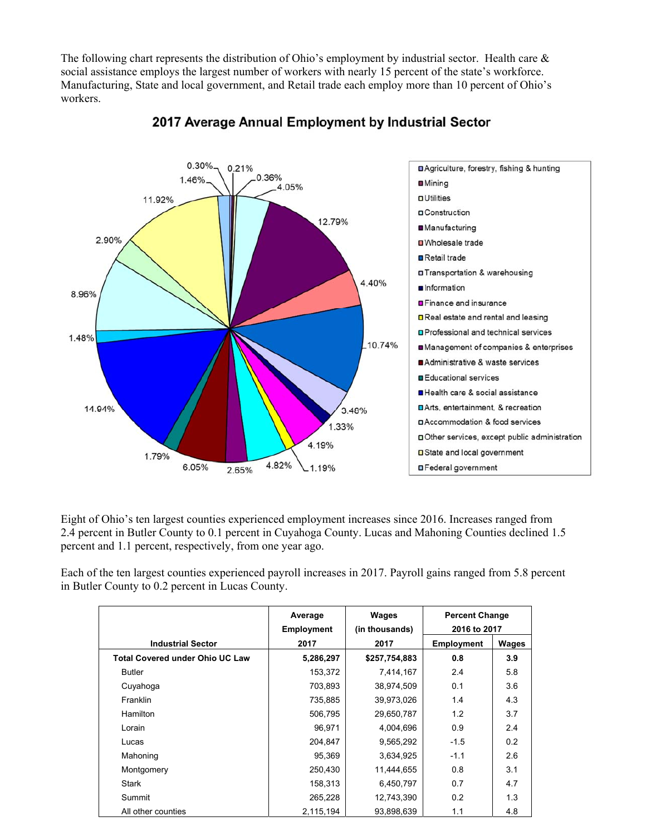The following chart represents the distribution of Ohio's employment by industrial sector. Health care & social assistance employs the largest number of workers with nearly 15 percent of the state's workforce. Manufacturing, State and local government, and Retail trade each employ more than 10 percent of Ohio's workers.



## 2017 Average Annual Employment by Industrial Sector

Eight of Ohio's ten largest counties experienced employment increases since 2016. Increases ranged from 2.4 percent in Butler County to 0.1 percent in Cuyahoga County. Lucas and Mahoning Counties declined 1.5 percent and 1.1 percent, respectively, from one year ago.

Each of the ten largest counties experienced payroll increases in 2017. Payroll gains ranged from 5.8 percent in Butler County to 0.2 percent in Lucas County.

|                                        | Average<br><b>Employment</b> | Wages<br>(in thousands) | <b>Percent Change</b><br>2016 to 2017 |              |
|----------------------------------------|------------------------------|-------------------------|---------------------------------------|--------------|
| <b>Industrial Sector</b>               | 2017                         | 2017                    | <b>Employment</b>                     | <b>Wages</b> |
| <b>Total Covered under Ohio UC Law</b> | 5,286,297                    | \$257,754,883           | 0.8                                   | 3.9          |
| <b>Butler</b>                          | 153,372                      | 7,414,167               | 2.4                                   | 5.8          |
| Cuyahoga                               | 703,893                      | 38,974,509              | 0.1                                   | 3.6          |
| Franklin                               | 735,885                      | 39,973,026              | 1.4                                   | 4.3          |
| <b>Hamilton</b>                        | 506,795                      | 29,650,787              | 1.2                                   | 3.7          |
| Lorain                                 | 96,971                       | 4,004,696               | 0.9                                   | 2.4          |
| Lucas                                  | 204,847                      | 9,565,292               | $-1.5$                                | 0.2          |
| Mahoning                               | 95.369                       | 3,634,925               | $-1.1$                                | 2.6          |
| Montgomery                             | 250,430                      | 11,444,655              | 0.8                                   | 3.1          |
| Stark                                  | 158,313                      | 6,450,797               | 0.7                                   | 4.7          |
| Summit                                 | 265,228                      | 12,743,390              | 0.2                                   | 1.3          |
| All other counties                     | 2,115,194                    | 93,898,639              | 1.1                                   | 4.8          |